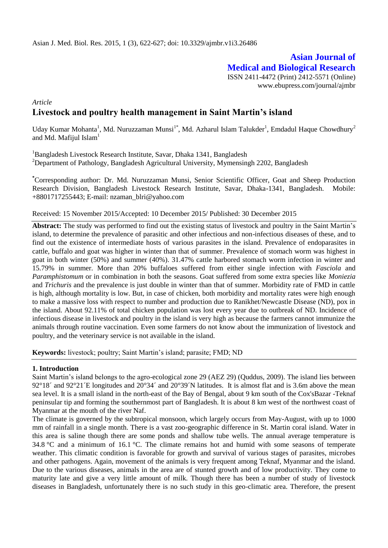# **Asian Journal of Medical and Biological Research**

ISSN 2411-4472 (Print) 2412-5571 (Online) www.ebupress.com/journal/ajmbr

## *Article* **Livestock and poultry health management in Saint Martin's island**

Uday Kumar Mohanta<sup>1</sup>, Md. Nuruzzaman Munsi<sup>1\*</sup>, Md. Azharul Islam Talukder<sup>1</sup>, Emdadul Haque Chowdhury<sup>2</sup> and Md. Mafijul Islam $<sup>1</sup>$ </sup>

<sup>1</sup>Bangladesh Livestock Research Institute, Savar, Dhaka 1341, Bangladesh <sup>2</sup>Department of Pathology, Bangladesh Agricultural University, Mymensingh 2202, Bangladesh

**\***Corresponding author: Dr. Md. Nuruzzaman Munsi, Senior Scientific Officer, Goat and Sheep Production Research Division, Bangladesh Livestock Research Institute, Savar, Dhaka-1341, Bangladesh. Mobile: +8801717255443; E-mail: [nzaman\\_blri@yahoo.com](mailto:nzaman_blri@yahoo.com)

### Received: 15 November 2015/Accepted: 10 December 2015/ Published: 30 December 2015

**Abstract:** The study was performed to find out the existing status of livestock and poultry in the Saint Martin's island, to determine the prevalence of parasitic and other infectious and non-infectious diseases of these, and to find out the existence of intermediate hosts of various parasites in the island. Prevalence of endoparasites in cattle, buffalo and goat was higher in winter than that of summer. Prevalence of stomach worm was highest in goat in both winter (50%) and summer (40%). 31.47% cattle harbored stomach worm infection in winter and 15.79% in summer. More than 20% buffaloes suffered from either single infection with *Fasciola* and *Paramphistomum* or in combination in both the seasons. Goat suffered from some extra species like *Moniezia* and *Trichuris* and the prevalence is just double in winter than that of summer. Morbidity rate of FMD in cattle is high, although mortality is low. But, in case of chicken, both morbidity and mortality rates were high enough to make a massive loss with respect to number and production due to Ranikhet/Newcastle Disease (ND), pox in the island. About 92.11% of total chicken population was lost every year due to outbreak of ND. Incidence of infectious disease in livestock and poultry in the island is very high as because the farmers cannot immunize the animals through routine vaccination. Even some farmers do not know about the immunization of livestock and poultry, and the veterinary service is not available in the island.

**Keywords:** livestock; poultry; Saint Martin's island; parasite; FMD; ND

### **1. Introduction**

Saint Martin's island belongs to the agro-ecological zone 29 (AEZ 29) (Quddus, 2009). The island lies between  $92^{\circ}18'$  and  $92^{\circ}21'$  E longitudes and  $20^{\circ}34'$  and  $20^{\circ}39'$  N latitudes. It is almost flat and is 3.6m above the mean sea level. It is a small island in the north-east of the Bay of Bengal, about 9 km south of the Cox'sBazar -Teknaf peninsular tip and forming the southernmost part of Bangladesh. It is about 8 km west of the northwest coast of Myanmar at the mouth of the river Naf.

The climate is governed by the subtropical monsoon, which largely occurs from May-August, with up to 1000 mm of rainfall in a single month. There is a vast zoo-geographic difference in St. Martin coral island. Water in this area is saline though there are some ponds and shallow tube wells. The annual average temperature is 34.8 [°C](http://en.wikipedia.org/wiki/Celsius) and a minimum of 16.1 [°C.](http://en.wikipedia.org/wiki/Celsius) The climate remains hot and humid with some seasons of temperate weather. This climatic condition is favorable for growth and survival of various stages of parasites, microbes and other pathogens. Again, movement of the animals is very frequent among Teknaf, Myanmar and the island. Due to the various diseases, animals in the area are of stunted growth and of low productivity. They come to maturity late and give a very little amount of milk. Though there has been a number of study of livestock diseases in Bangladesh, unfortunately there is no such study in this geo-climatic area. Therefore, the present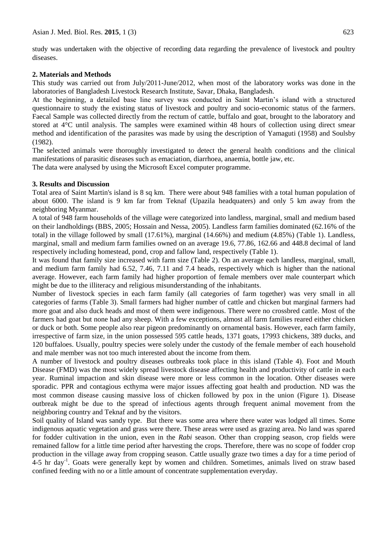study was undertaken with the objective of recording data regarding the prevalence of livestock and poultry diseases.

#### **2. Materials and Methods**

This study was carried out from July/2011-June/2012, when most of the laboratory works was done in the laboratories of Bangladesh Livestock Research Institute, Savar, Dhaka, Bangladesh.

At the beginning, a detailed base line survey was conducted in Saint Martin's island with a structured questionnaire to study the existing status of livestock and poultry and socio-economic status of the farmers. Faecal Sample was collected directly from the rectum of cattle, buffalo and goat, brought to the laboratory and stored at 4°C until analysis. The samples were examined within 48 hours of collection using direct smear method and identification of the parasites was made by using the description of Yamaguti (1958) and Soulsby (1982).

The selected animals were thoroughly investigated to detect the general health conditions and the clinical manifestations of parasitic diseases such as emaciation, diarrhoea, anaemia, bottle jaw, etc.

The data were analysed by using the Microsoft Excel computer programme.

### **3. Results and Discussion**

Total area of Saint Martin's island is 8 sq km. There were about 948 families with a total human population of about 6000. The island is 9 km far from Teknaf (Upazila headquaters) and only 5 km away from the neighboring Myanmar.

A total of 948 farm households of the village were categorized into landless, marginal, small and medium based on their landholdings (BBS, 2005; Hossain and Nessa, 2005). Landless farm families dominated (62.16% of the total) in the village followed by small (17.61%), marginal (14.66%) and medium (4.85%) (Table 1). Landless, marginal, small and medium farm families owned on an average 19.6, 77.86, 162.66 and 448.8 decimal of land respectively including homestead, pond, crop and fallow land, respectively (Table 1).

It was found that family size increased with farm size (Table 2). On an average each landless, marginal, small, and medium farm family had 6.52, 7.46, 7.11 and 7.4 heads, respectively which is higher than the national average. However, each farm family had higher proportion of female members over male counterpart which might be due to the illiteracy and religious misunderstanding of the inhabitants.

Number of livestock species in each farm family (all categories of farm together) was very small in all categories of farms (Table 3). Small farmers had higher number of cattle and chicken but marginal farmers had more goat and also duck heads and most of them were indigenous. There were no crossbred cattle. Most of the farmers had goat but none had any sheep. With a few exceptions, almost all farm families reared either chicken or duck or both. Some people also rear pigeon predominantly on ornamental basis. However, each farm family, irrespective of farm size, in the union possessed 595 cattle heads, 1371 goats, 17993 chickens, 389 ducks, and 120 buffaloes. Usually, poultry species were solely under the custody of the female member of each household and male member was not too much interested about the income from them.

A number of livestock and poultry diseases outbreaks took place in this island (Table 4). Foot and Mouth Disease (FMD) was the most widely spread livestock disease affecting health and productivity of cattle in each year. Ruminal impaction and skin disease were more or less common in the location. Other diseases were sporadic. PPR and contagious ecthyma were major issues affecting goat health and production. ND was the most common disease causing massive loss of chicken followed by pox in the union (Figure 1). Disease outbreak might be due to the spread of infectious agents through frequent animal movement from the neighboring country and Teknaf and by the visitors.

Soil quality of Island was sandy type. But there was some area where there water was lodged all times. Some indigenous aquatic vegetation and grass were there. These areas were used as grazing area. No land was spared for fodder cultivation in the union, even in the *Rabi* season. Other than cropping season, crop fields were remained fallow for a little time period after harvesting the crops. Therefore, there was no scope of fodder crop production in the village away from cropping season. Cattle usually graze two times a day for a time period of 4-5 hr day<sup>-1</sup>. Goats were generally kept by women and children. Sometimes, animals lived on straw based confined feeding with no or a little amount of concentrate supplementation everyday.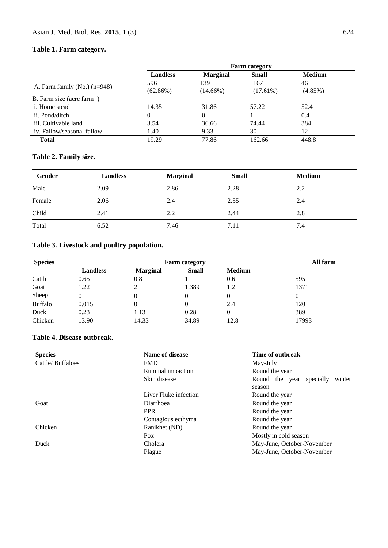# **Table 1. Farm category.**

|                                  | <b>Farm category</b> |                 |              |               |
|----------------------------------|----------------------|-----------------|--------------|---------------|
|                                  | <b>Landless</b>      | <b>Marginal</b> | <b>Small</b> | <b>Medium</b> |
|                                  | 596                  | 139             | 167          | 46            |
| A. Farm family $(No.)$ $(n=948)$ | (62.86%)             | $(14.66\%)$     | $(17.61\%)$  | $(4.85\%)$    |
| B. Farm size (acre farm)         |                      |                 |              |               |
| <i>i</i> . Home stead            | 14.35                | 31.86           | 57.22        | 52.4          |
| ii. Pond/ditch                   | 0                    | $\theta$        |              | 0.4           |
| iii. Cultivable land             | 3.54                 | 36.66           | 74.44        | 384           |
| iv. Fallow/seasonal fallow       | 1.40                 | 9.33            | 30           | 12            |
| <b>Total</b>                     | 19.29                | 77.86           | 162.66       | 448.8         |

# **Table 2. Family size.**

| Male<br>2.28<br>2.09<br>2.86<br>2.2<br>Female<br>2.06<br>2.55<br>2.4<br>2.4<br>Child<br>2.44<br>2.41<br>2.8<br>2.2 | Gender | <b>Landless</b> | <b>Marginal</b> | <b>Small</b> | <b>Medium</b> |
|--------------------------------------------------------------------------------------------------------------------|--------|-----------------|-----------------|--------------|---------------|
|                                                                                                                    |        |                 |                 |              |               |
|                                                                                                                    |        |                 |                 |              |               |
|                                                                                                                    |        |                 |                 |              |               |
| Total<br>6.52<br>7.4<br>7.46<br>7.11                                                                               |        |                 |                 |              |               |

# **Table 3. Livestock and poultry population.**

| <b>Species</b> |                 | All farm        |              |               |       |
|----------------|-----------------|-----------------|--------------|---------------|-------|
|                | <b>Landless</b> | <b>Marginal</b> | <b>Small</b> | <b>Medium</b> |       |
| Cattle         | 0.65            | 0.8             |              | 0.6           | 595   |
| Goat           | 1.22            |                 | 1.389        | 1.2           | 1371  |
| Sheep          | 0               |                 | $\theta$     |               |       |
| <b>Buffalo</b> | 0.015           |                 |              | 2.4           | 120   |
| Duck           | 0.23            | 1.13            | 0.28         | 0             | 389   |
| Chicken        | 13.90           | 14.33           | 34.89        | 12.8          | 17993 |

### **Table 4. Disease outbreak.**

| <b>Species</b>    | Name of disease              | Time of outbreak                      |  |  |
|-------------------|------------------------------|---------------------------------------|--|--|
| Cattle/Buffaloes  | <b>FMD</b>                   | May-July                              |  |  |
| Ruminal impaction |                              | Round the year                        |  |  |
|                   | Skin disease                 | Round the year<br>specially<br>winter |  |  |
|                   |                              | season                                |  |  |
|                   | Liver Fluke infection        | Round the year                        |  |  |
| Goat              | Diarrhoea                    | Round the year                        |  |  |
|                   | <b>PPR</b>                   | Round the year                        |  |  |
|                   | Contagious ecthyma           | Round the year                        |  |  |
| Chicken           | Ranikhet (ND)                | Round the year                        |  |  |
|                   | Mostly in cold season<br>Pox |                                       |  |  |
| Duck              | Cholera                      | May-June, October-November            |  |  |
|                   | Plague                       | May-June, October-November            |  |  |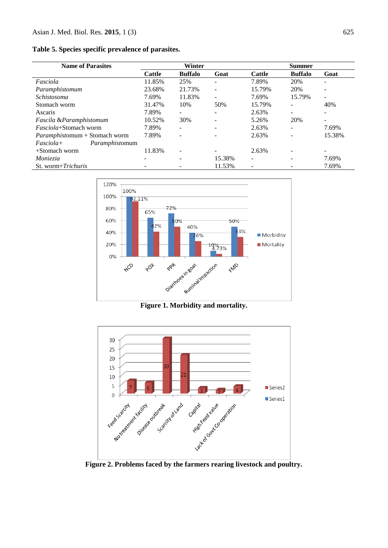**Table 5. Species specific prevalence of parasites.**

| <b>Name of Parasites</b>             | Winter        |                | <b>Summer</b>            |               |                |        |
|--------------------------------------|---------------|----------------|--------------------------|---------------|----------------|--------|
|                                      | <b>Cattle</b> | <b>Buffalo</b> | Goat                     | <b>Cattle</b> | <b>Buffalo</b> | Goat   |
| Fasciola                             | 11.85%        | 25%            | ٠                        | 7.89%         | 20%            |        |
| Paramphistomum                       | 23.68%        | 21.73%         | $\overline{\phantom{a}}$ | 15.79%        | 20%            |        |
| Schistosoma                          | 7.69%         | 11.83%         | $\overline{\phantom{a}}$ | 7.69%         | 15.79%         |        |
| Stomach worm                         | 31.47%        | 10%            | 50%                      | 15.79%        |                | 40%    |
| Ascaris                              | 7.89%         | -              | $\overline{\phantom{a}}$ | 2.63%         |                |        |
| Fascila &Paramphistomum              | 10.52%        | 30%            | ٠                        | 5.26%         | 20%            |        |
| <i>Fasciola</i> +Stomach worm        | 7.89%         | -              |                          | 2.63%         |                | 7.69%  |
| <i>Paramphistomum</i> + Stomach worm | 7.89%         |                |                          | 2.63%         |                | 15.38% |
| $Fasciola+$<br>Paramphistomum        |               |                |                          |               |                |        |
| $+$ Stomach worm                     | 11.83%        | ۰              |                          | 2.63%         |                |        |
| Moniezia                             |               |                | 15.38%                   |               |                | 7.69%  |
| St. worm+Trichuris                   |               |                | 11.53%                   |               |                | 7.69%  |



**Figure 1. Morbidity and mortality.**



**Figure 2. Problems faced by the farmers rearing livestock and poultry.**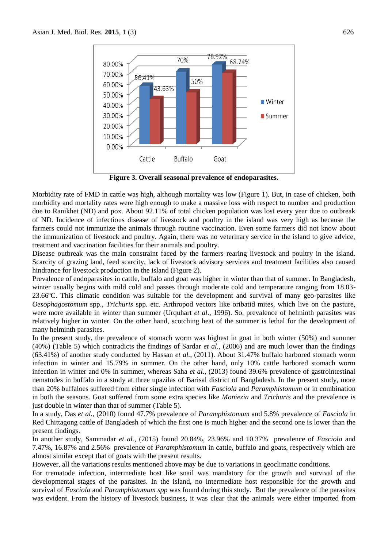

**Figure 3. Overall seasonal prevalence of endoparasites.**

Morbidity rate of FMD in cattle was high, although mortality was low (Figure 1). But, in case of chicken, both morbidity and mortality rates were high enough to make a massive loss with respect to number and production due to Ranikhet (ND) and pox. About 92.11% of total chicken population was lost every year due to outbreak of ND. Incidence of infectious disease of livestock and poultry in the island was very high as because the farmers could not immunize the animals through routine vaccination. Even some farmers did not know about the immunization of livestock and poultry. Again, there was no veterinary service in the island to give advice, treatment and vaccination facilities for their animals and poultry.

Disease outbreak was the main constraint faced by the farmers rearing livestock and poultry in the island. Scarcity of grazing land, feed scarcity, lack of livestock advisory services and treatment facilities also caused hindrance for livestock production in the island (Figure 2).

Prevalence of endoparasites in cattle, buffalo and goat was higher in winter than that of summer. In Bangladesh, winter usually begins with mild cold and passes through moderate cold and temperature ranging from 18.03- 23.66ºC. This climatic condition was suitable for the development and survival of many geo-parasites like *Oesophagostomum* spp., *Trichuris* spp. etc. Arthropod vectors like oribatid mites, which live on the pasture, were more available in winter than summer (Urquhart *et al.*, 1996). So, prevalence of helminth parasites was relatively higher in winter. On the other hand, scotching heat of the summer is lethal for the development of many helminth parasites.

In the present study, the prevalence of stomach worm was highest in goat in both winter (50%) and summer (40%) (Table 5) which contradicts the findings of Sardar *et al.*, (2006) and are much lower than the findings (63.41%) of another study conducted by Hassan *et al.*, (2011). About 31.47% buffalo harbored stomach worm infection in winter and 15.79% in summer. On the other hand, only 10% cattle harbored stomach worm infection in winter and 0% in summer, whereas Saha *et al.*, (2013) found 39.6% prevalence of gastrointestinal nematodes in buffalo in a study at three upazilas of Barisal district of Bangladesh. In the present study, more than 20% buffaloes suffered from either single infection with *Fasciola* and *Paramphistomum* or in combination in both the seasons. Goat suffered from some extra species like *Moniezia* and *Trichuris* and the prevalence is just double in winter than that of summer (Table 5).

In a study, Das *et al.*, (2010) found 47.7% prevalence of *Paramphistomum* and 5.8% prevalence of *Fasciola* in Red Chittagong cattle of Bangladesh of which the first one is much higher and the second one is lower than the present findings.

In another study, Sammadar *et al.*, (2015) found 20.84%, 23.96% and 10.37% prevalence of *Fasciola* and 7.47%, 16.87% and 2.56% prevalence of *Paramphistomum* in cattle, buffalo and goats, respectively which are almost similar except that of goats with the present results.

However, all the variations results mentioned above may be due to variations in geoclimatic conditions.

For trematode infection, intermediate host like snail was mandatory for the growth and survival of the developmental stages of the parasites. In the island, no intermediate host responsible for the growth and survival of *Fasciola* and *Paramphistomum spp* was found during this study. But the prevalence of the parasites was evident. From the history of livestock business, it was clear that the animals were either imported from